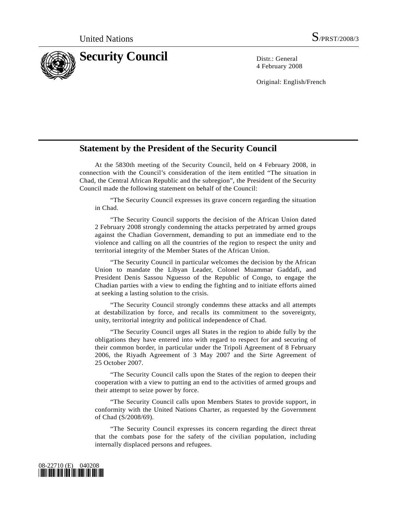

4 February 2008

Original: English/French

## **Statement by the President of the Security Council**

 At the 5830th meeting of the Security Council, held on 4 February 2008, in connection with the Council's consideration of the item entitled "The situation in Chad, the Central African Republic and the subregion", the President of the Security Council made the following statement on behalf of the Council:

 "The Security Council expresses its grave concern regarding the situation in Chad.

 "The Security Council supports the decision of the African Union dated 2 February 2008 strongly condemning the attacks perpetrated by armed groups against the Chadian Government, demanding to put an immediate end to the violence and calling on all the countries of the region to respect the unity and territorial integrity of the Member States of the African Union.

 "The Security Council in particular welcomes the decision by the African Union to mandate the Libyan Leader, Colonel Muammar Gaddafi, and President Denis Sassou Nguesso of the Republic of Congo, to engage the Chadian parties with a view to ending the fighting and to initiate efforts aimed at seeking a lasting solution to the crisis.

 "The Security Council strongly condemns these attacks and all attempts at destabilization by force, and recalls its commitment to the sovereignty, unity, territorial integrity and political independence of Chad.

 "The Security Council urges all States in the region to abide fully by the obligations they have entered into with regard to respect for and securing of their common border, in particular under the Tripoli Agreement of 8 February 2006, the Riyadh Agreement of 3 May 2007 and the Sirte Agreement of 25 October 2007.

 "The Security Council calls upon the States of the region to deepen their cooperation with a view to putting an end to the activities of armed groups and their attempt to seize power by force.

 "The Security Council calls upon Members States to provide support, in conformity with the United Nations Charter, as requested by the Government of Chad (S/2008/69).

 "The Security Council expresses its concern regarding the direct threat that the combats pose for the safety of the civilian population, including internally displaced persons and refugees.